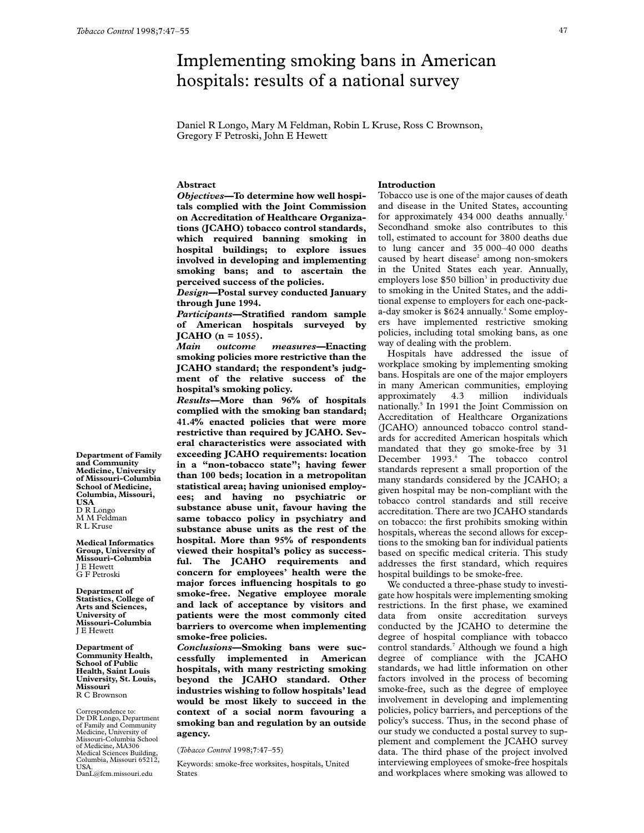# Implementing smoking bans in American hospitals: results of a national survey

Daniel R Longo, Mary M Feldman, Robin L Kruse, Ross C Brownson, Gregory F Petroski, John E Hewett

## **Abstract**

*Objectives—***To determine how well hospitals complied with the Joint Commission on Accreditation of Healthcare Organizations (JCAHO) tobacco control standards, which required banning smoking in hospital buildings; to explore issues involved in developing and implementing smoking bans; and to ascertain the perceived success of the policies.**

*Design***—Postal survey conducted January through June 1994.**

*Participants—***Stratified random sample of American hospitals surveyed by JCAHO (n = 1055).**

*Main outcome measures—***Enacting smoking policies more restrictive than the JCAHO standard; the respondent's judgment of the relative success of the hospital's smoking policy.**

*Results—***More than 96% of hospitals complied with the smoking ban standard; 41.4% enacted policies that were more restrictive than required by JCAHO. Several characteristics were associated with exceeding JCAHO requirements: location in a "non-tobacco state"; having fewer than 100 beds; location in a metropolitan statistical area; having unionised employees; and having no psychiatric or substance abuse unit, favour having the same tobacco policy in psychiatry and substance abuse units as the rest of the hospital. More than 95% of respondents viewed their hospital's policy as successful. The JCAHO requirements and concern for employees' health were the major forces influencing hospitals to go smoke-free. Negative employee morale and lack of acceptance by visitors and patients were the most commonly cited barriers to overcome when implementing smoke-free policies.**

*Conclusions—***Smoking bans were successfully implemented in American hospitals, with many restricting smoking beyond the JCAHO standard. Other industries wishing to follow hospitals' lead would be most likely to succeed in the context of a social norm favouring a smoking ban and regulation by an outside agency.**

(*Tobacco Control* 1998;**7**:47–55)

Keywords: smoke-free worksites, hospitals, United States

# **Introduction**

Tobacco use is one of the major causes of death and disease in the United States, accounting for approximately 434 000 deaths annually.<sup>1</sup> Secondhand smoke also contributes to this toll, estimated to account for 3800 deaths due to lung cancer and 35 000–40 000 deaths caused by heart disease<sup>2</sup> among non-smokers in the United States each year. Annually, employers lose  $$50$  billion<sup>3</sup> in productivity due to smoking in the United States, and the additional expense to employers for each one-packa-day smoker is \$624 annually.<sup>4</sup> Some employers have implemented restrictive smoking policies, including total smoking bans, as one way of dealing with the problem.

Hospitals have addressed the issue of workplace smoking by implementing smoking bans. Hospitals are one of the major employers in many American communities, employing approximately 4.3 million individuals nationally.5 In 1991 the Joint Commission on Accreditation of Healthcare Organizations (JCAHO) announced tobacco control standards for accredited American hospitals which mandated that they go smoke-free by 31 December 1993.<sup>6</sup> The tobacco control standards represent a small proportion of the many standards considered by the JCAHO; a given hospital may be non-compliant with the tobacco control standards and still receive accreditation. There are two JCAHO standards on tobacco: the first prohibits smoking within hospitals, whereas the second allows for exceptions to the smoking ban for individual patients based on specific medical criteria. This study addresses the first standard, which requires hospital buildings to be smoke-free.

We conducted a three-phase study to investigate how hospitals were implementing smoking restrictions. In the first phase, we examined data from onsite accreditation surveys conducted by the JCAHO to determine the degree of hospital compliance with tobacco control standards.<sup>7</sup> Although we found a high degree of compliance with the JCAHO standards, we had little information on other factors involved in the process of becoming smoke-free, such as the degree of employee involvement in developing and implementing policies, policy barriers, and perceptions of the policy's success. Thus, in the second phase of our study we conducted a postal survey to supplement and complement the JCAHO survey data. The third phase of the project involved interviewing employees of smoke-free hospitals and workplaces where smoking was allowed to

**Department of Family and Community Medicine, University of Missouri-Columbia School of Medicine, Columbia, Missouri, USA** D R Longo M M Feldman R L Kruse

**Medical Informatics Group, University of Missouri-Columbia** J E Hewett G F Petroski

**Department of Statistics, College of Arts and Sciences, University of Missouri-Columbia** J E Hewett

**Department of Community Health, School of Public Health, Saint Louis University, St. Louis, Missouri** R C Brownson

Correspondence to: Dr DR Longo, Department of Family and Community Medicine, University of Missouri-Columbia School of Medicine, MA306 Medical Sciences Building, Columbia, Missouri 65212, USA. DanL@fcm.missouri.edu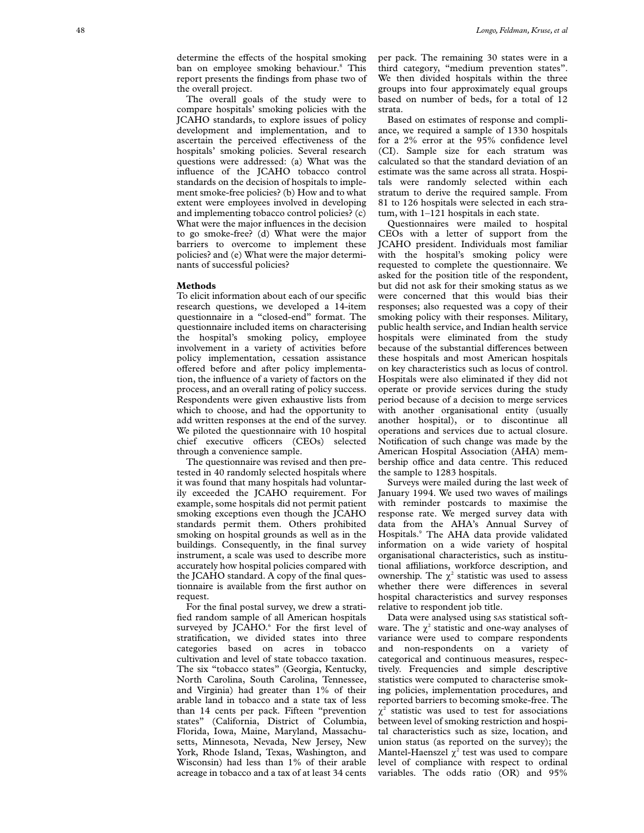The overall goals of the study were to compare hospitals' smoking policies with the JCAHO standards, to explore issues of policy development and implementation, and to ascertain the perceived effectiveness of the hospitals' smoking policies. Several research questions were addressed: (a) What was the influence of the JCAHO tobacco control standards on the decision of hospitals to implement smoke-free policies? (b) How and to what extent were employees involved in developing and implementing tobacco control policies? (c) What were the major influences in the decision to go smoke-free? (d) What were the major barriers to overcome to implement these policies? and (e) What were the major determinants of successful policies?

## **Methods**

To elicit information about each of our specific research questions, we developed a 14-item questionnaire in a "closed-end" format. The questionnaire included items on characterising the hospital's smoking policy, employee involvement in a variety of activities before policy implementation, cessation assistance offered before and after policy implementation, the influence of a variety of factors on the process, and an overall rating of policy success. Respondents were given exhaustive lists from which to choose, and had the opportunity to add written responses at the end of the survey. We piloted the questionnaire with 10 hospital chief executive officers (CEOs) selected through a convenience sample.

The questionnaire was revised and then pretested in 40 randomly selected hospitals where it was found that many hospitals had voluntarily exceeded the JCAHO requirement. For example, some hospitals did not permit patient smoking exceptions even though the JCAHO standards permit them. Others prohibited smoking on hospital grounds as well as in the buildings. Consequently, in the final survey instrument, a scale was used to describe more accurately how hospital policies compared with the JCAHO standard. A copy of the final questionnaire is available from the first author on request.

For the final postal survey, we drew a stratified random sample of all American hospitals surveyed by JCAHO.<sup>6</sup> For the first level of stratification, we divided states into three categories based on acres in tobacco cultivation and level of state tobacco taxation. The six "tobacco states" (Georgia, Kentucky, North Carolina, South Carolina, Tennessee, and Virginia) had greater than 1% of their arable land in tobacco and a state tax of less than 14 cents per pack. Fifteen "prevention states" (California, District of Columbia, Florida, Iowa, Maine, Maryland, Massachusetts, Minnesota, Nevada, New Jersey, New York, Rhode Island, Texas, Washington, and Wisconsin) had less than 1% of their arable acreage in tobacco and a tax of at least 34 cents

per pack. The remaining 30 states were in a third category, "medium prevention states". We then divided hospitals within the three groups into four approximately equal groups based on number of beds, for a total of 12 strata.

Based on estimates of response and compliance, we required a sample of 1330 hospitals for a 2% error at the 95% confidence level (CI). Sample size for each stratum was calculated so that the standard deviation of an estimate was the same across all strata. Hospitals were randomly selected within each stratum to derive the required sample. From 81 to 126 hospitals were selected in each stratum, with 1–121 hospitals in each state.

Questionnaires were mailed to hospital CEOs with a letter of support from the JCAHO president. Individuals most familiar with the hospital's smoking policy were requested to complete the questionnaire. We asked for the position title of the respondent, but did not ask for their smoking status as we were concerned that this would bias their responses; also requested was a copy of their smoking policy with their responses. Military, public health service, and Indian health service hospitals were eliminated from the study because of the substantial differences between these hospitals and most American hospitals on key characteristics such as locus of control. Hospitals were also eliminated if they did not operate or provide services during the study period because of a decision to merge services with another organisational entity (usually another hospital), or to discontinue all operations and services due to actual closure. Notification of such change was made by the American Hospital Association (AHA) membership office and data centre. This reduced the sample to 1283 hospitals.

Surveys were mailed during the last week of January 1994. We used two waves of mailings with reminder postcards to maximise the response rate. We merged survey data with data from the AHA's Annual Survey of Hospitals. <sup>9</sup> The AHA data provide validated information on a wide variety of hospital organisational characteristics, such as institutional affiliations, workforce description, and ownership. The  $\chi^2$  statistic was used to assess whether there were differences in several hospital characteristics and survey responses relative to respondent job title.

Data were analysed using SAS statistical software. The  $\chi^2$  statistic and one-way analyses of variance were used to compare respondents and non-respondents on a variety of categorical and continuous measures, respectively. Frequencies and simple descriptive statistics were computed to characterise smoking policies, implementation procedures, and reported barriers to becoming smoke-free. The  $\chi^2$  statistic was used to test for associations between level of smoking restriction and hospital characteristics such as size, location, and union status (as reported on the survey); the Mantel-Haenszel  $\chi^2$  test was used to compare level of compliance with respect to ordinal variables. The odds ratio (OR) and 95%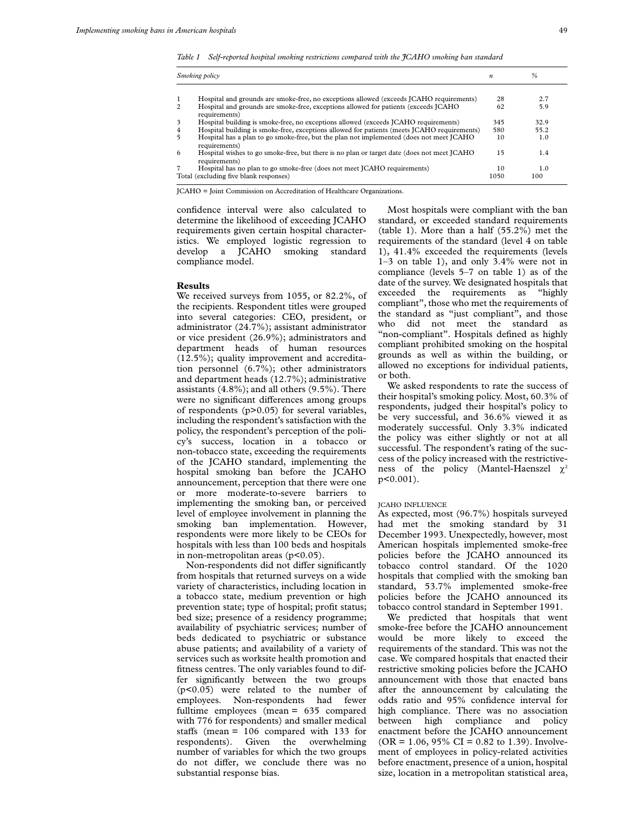*Table 1 Self-reported hospital smoking restrictions compared with the JCAHO smoking ban standard*

|                         | Smoking policy                                                                                               | n    | %    |
|-------------------------|--------------------------------------------------------------------------------------------------------------|------|------|
|                         |                                                                                                              |      |      |
| $\mathbf{1}$            | Hospital and grounds are smoke-free, no exceptions allowed (exceeds JCAHO requirements)                      | 28   | 2.7  |
| 2                       | Hospital and grounds are smoke-free, exceptions allowed for patients (exceeds JCAHO<br>requirements)         | 62   | 5.9  |
| $\overline{\mathbf{3}}$ | Hospital building is smoke-free, no exceptions allowed (exceeds JCAHO requirements)                          | 345  | 32.9 |
| 4                       | Hospital building is smoke-free, exceptions allowed for patients (meets JCAHO requirements)                  | 580  | 55.2 |
| 5                       | Hospital has a plan to go smoke-free, but the plan not implemented (does not meet JCAHO<br>requirements)     | 10   | 1.0  |
| 6                       | Hospital wishes to go smoke-free, but there is no plan or target date (does not meet JCAHO)<br>requirements) | 15   | 1.4  |
| 7                       | Hospital has no plan to go smoke-free (does not meet JCAHO requirements)                                     | 10   | 1.0  |
|                         | Total (excluding five blank responses)                                                                       | 1050 | 100  |

JCAHO = Joint Commission on Accreditation of Healthcare Organizations.

confidence interval were also calculated to determine the likelihood of exceeding JCAHO requirements given certain hospital characteristics. We employed logistic regression to develop a JCAHO smoking standard compliance model.

## **Results**

We received surveys from 1055, or 82.2%, of the recipients. Respondent titles were grouped into several categories: CEO, president, or administrator (24.7%); assistant administrator or vice president (26.9%); administrators and department heads of human resources (12.5%); quality improvement and accreditation personnel (6.7%); other administrators and department heads (12.7%); administrative assistants (4.8%); and all others (9.5%). There were no significant differences among groups of respondents (p>0.05) for several variables, including the respondent's satisfaction with the policy, the respondent's perception of the policy's success, location in a tobacco or non-tobacco state, exceeding the requirements of the JCAHO standard, implementing the hospital smoking ban before the JCAHO announcement, perception that there were one or more moderate-to-severe barriers to implementing the smoking ban, or perceived level of employee involvement in planning the smoking ban implementation. However, respondents were more likely to be CEOs for hospitals with less than 100 beds and hospitals in non-metropolitan areas (p<0.05).

Non-respondents did not differ significantly from hospitals that returned surveys on a wide variety of characteristics, including location in a tobacco state, medium prevention or high prevention state; type of hospital; profit status; bed size; presence of a residency programme; availability of psychiatric services; number of beds dedicated to psychiatric or substance abuse patients; and availability of a variety of services such as worksite health promotion and fitness centres. The only variables found to differ significantly between the two groups (p<0.05) were related to the number of employees. Non-respondents had fewer fulltime employees (mean = 635 compared with 776 for respondents) and smaller medical staffs (mean =  $106$  compared with 133 for respondents). Given the overwhelming number of variables for which the two groups do not differ, we conclude there was no substantial response bias.

Most hospitals were compliant with the ban standard, or exceeded standard requirements (table 1). More than a half (55.2%) met the requirements of the standard (level 4 on table 1), 41.4% exceeded the requirements (levels 1–3 on table 1), and only 3.4% were not in compliance (levels 5–7 on table 1) as of the date of the survey. We designated hospitals that exceeded the requirements as "highly compliant", those who met the requirements of the standard as "just compliant", and those who did not meet the standard as "non-compliant". Hospitals defined as highly compliant prohibited smoking on the hospital grounds as well as within the building, or allowed no exceptions for individual patients, or both.

We asked respondents to rate the success of their hospital's smoking policy. Most, 60.3% of respondents, judged their hospital's policy to be very successful, and 36.6% viewed it as moderately successful. Only 3.3% indicated the policy was either slightly or not at all successful. The respondent's rating of the success of the policy increased with the restrictiveness of the policy (Mantel-Haenszel  $\chi^2$ p<0.001).

#### JCAHO INFLUENCE

As expected, most (96.7%) hospitals surveyed had met the smoking standard by 31 December 1993. Unexpectedly, however, most American hospitals implemented smoke-free policies before the JCAHO announced its tobacco control standard. Of the 1020 hospitals that complied with the smoking ban standard, 53.7% implemented smoke-free policies before the JCAHO announced its tobacco control standard in September 1991.

We predicted that hospitals that went smoke-free before the JCAHO announcement would be more likely to exceed the requirements of the standard. This was not the case. We compared hospitals that enacted their restrictive smoking policies before the JCAHO announcement with those that enacted bans after the announcement by calculating the odds ratio and 95% confidence interval for high compliance. There was no association between high compliance and policy enactment before the JCAHO announcement  $(OR = 1.06, 95\% \text{ CI} = 0.82 \text{ to } 1.39)$ . Involvement of employees in policy-related activities before enactment, presence of a union, hospital size, location in a metropolitan statistical area,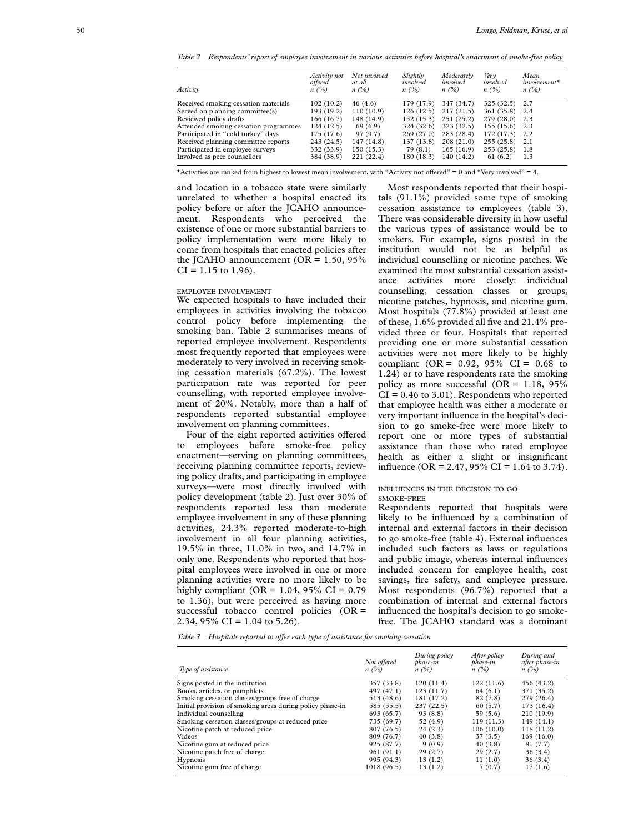*Table 2 Respondents' report of employee involvement in various activities before hospital's enactment of smoke-free policy*

| Activity                              | Activity not<br>offered<br>n(%) | Not involved<br>at all<br>$n(\%)$ | Slightly<br>involved<br>n(%) | Moderately<br>involved<br>n(%) | Very<br>involved<br>$n(\%)$ | Mean<br>$involvement*$<br>$n(\%)$ |
|---------------------------------------|---------------------------------|-----------------------------------|------------------------------|--------------------------------|-----------------------------|-----------------------------------|
| Received smoking cessation materials  | 102(10.2)                       | 46(4.6)                           | 179 (17.9)                   | 347 (34.7)                     | $325(32.5)$ 2.7             |                                   |
| Served on planning committee(s)       | 193 (19.2)                      | 110(10.9)                         | 126(12.5)                    | 217(21.5)                      | 361(35.8)                   | -2.4                              |
| Reviewed policy drafts                | 166 (16.7)                      | 148 (14.9)                        | 152(15.3)                    | 251(25.2)                      | 279 (28.0)                  | 2.3                               |
| Attended smoking cessation programmes | 124(12.5)                       | 69(6.9)                           | 324 (32.6)                   | 323 (32.5)                     | 155(15.6)                   | 2.3                               |
| Participated in "cold turkey" days    | 175(17.6)                       | 97 (9.7)                          | 269(27.0)                    | 283 (28.4)                     | 172(17.3)                   | 2.2                               |
| Received planning committee reports   | 243 (24.5)                      | 147 (14.8)                        | 137(13.8)                    | 208(21.0)                      | 255(25.8)                   | 2.1                               |
| Participated in employee surveys      | 332 (33.9)                      | 150(15.3)                         | 79(8.1)                      | 165(16.9)                      | 253(25.8)                   | 1.8                               |
| Involved as peer counsellors          | 384 (38.9)                      | 221 (22.4)                        | 180(18.3)                    | 140 (14.2)                     | 61(6.2)                     | 1.3                               |
|                                       |                                 |                                   |                              |                                |                             |                                   |

\*Activities are ranked from highest to lowest mean involvement, with "Activity not offered" = 0 and "Very involved" = 4.

and location in a tobacco state were similarly unrelated to whether a hospital enacted its policy before or after the JCAHO announcement. Respondents who perceived the existence of one or more substantial barriers to policy implementation were more likely to come from hospitals that enacted policies after the JCAHO announcement ( $OR = 1.50$ , 95%  $CI = 1.15$  to 1.96).

## EMPLOYEE INVOLVEMENT

We expected hospitals to have included their employees in activities involving the tobacco control policy before implementing the smoking ban. Table 2 summarises means of reported employee involvement. Respondents most frequently reported that employees were moderately to very involved in receiving smoking cessation materials (67.2%). The lowest participation rate was reported for peer counselling, with reported employee involvement of 20%. Notably, more than a half of respondents reported substantial employee involvement on planning committees.

Four of the eight reported activities offered to employees before smoke-free policy enactment—serving on planning committees, receiving planning committee reports, reviewing policy drafts, and participating in employee surveys—were most directly involved with policy development (table 2). Just over 30% of respondents reported less than moderate employee involvement in any of these planning activities, 24.3% reported moderate-to-high involvement in all four planning activities, 19.5% in three, 11.0% in two, and 14.7% in only one. Respondents who reported that hospital employees were involved in one or more planning activities were no more likely to be highly compliant ( $OR = 1.04$ , 95%  $CI = 0.79$ to 1.36), but were perceived as having more successful tobacco control policies  $(OR =$ 2.34, 95% CI = 1.04 to 5.26).

Most respondents reported that their hospitals (91.1%) provided some type of smoking cessation assistance to employees (table 3). There was considerable diversity in how useful the various types of assistance would be to smokers. For example, signs posted in the institution would not be as helpful as individual counselling or nicotine patches. We examined the most substantial cessation assistance activities more closely: individual counselling, cessation classes or groups, nicotine patches, hypnosis, and nicotine gum. Most hospitals (77.8%) provided at least one of these, 1.6% provided all five and 21.4% provided three or four. Hospitals that reported providing one or more substantial cessation activities were not more likely to be highly compliant (OR =  $0.92$ , 95% CI =  $0.68$  to 1.24) or to have respondents rate the smoking policy as more successful ( $OR = 1.18$ ,  $95\%$  $CI = 0.46$  to 3.01). Respondents who reported that employee health was either a moderate or very important influence in the hospital's decision to go smoke-free were more likely to report one or more types of substantial assistance than those who rated employee health as either a slight or insignificant influence (OR = 2.47, 95% CI = 1.64 to 3.74).

#### INFLUENCES IN THE DECISION TO GO SMOKE-FREE

Respondents reported that hospitals were likely to be influenced by a combination of internal and external factors in their decision to go smoke-free (table 4). External influences included such factors as laws or regulations and public image, whereas internal influences included concern for employee health, cost savings, fire safety, and employee pressure. Most respondents (96.7%) reported that a combination of internal and external factors influenced the hospital's decision to go smokefree. The JCAHO standard was a dominant

*Table 3* Hospitals reported to offer each type of assistance for smoking cessation

| Type of assistance                                        | Not offered<br>$n(\%)$ | During policy<br>phase-in<br>$n(\%)$ | After policy<br>phase-in<br>n(%) | During and<br>after phase-in<br>$n(\%)$ |
|-----------------------------------------------------------|------------------------|--------------------------------------|----------------------------------|-----------------------------------------|
| Signs posted in the institution                           | 357 (33.8)             | 120(11.4)                            | 122(11.6)                        | 456 (43.2)                              |
| Books, articles, or pamphlets                             | 497 (47.1)             | 123(11.7)                            | 64(6.1)                          | 371 (35.2)                              |
| Smoking cessation classes/groups free of charge           | 513 (48.6)             | 181 (17.2)                           | 82 (7.8)                         | 279 (26.4)                              |
| Initial provision of smoking areas during policy phase-in | 585 (55.5)             | 237(22.5)                            | 60(5.7)                          | 173 (16.4)                              |
| Individual counselling                                    | 693 (65.7)             | 93(8.8)                              | 59(5.6)                          | 210(19.9)                               |
| Smoking cessation classes/groups at reduced price         | 735 (69.7)             | 52(4.9)                              | 119(11.3)                        | 149(14.1)                               |
| Nicotine patch at reduced price                           | 807 (76.5)             | 24(2.3)                              | 106(10.0)                        | 118(11.2)                               |
| Videos                                                    | 809 (76.7)             | 40(3.8)                              | 37(3.5)                          | 169(16.0)                               |
| Nicotine gum at reduced price                             | 925 (87.7)             | 9(0.9)                               | 40(3.8)                          | 81 (7.7)                                |
| Nicotine patch free of charge                             | 961(91.1)              | 29(2.7)                              | 29(2.7)                          | 36(3.4)                                 |
| <b>Hypnosis</b>                                           | 995 (94.3)             | 13(1.2)                              | 11(1.0)                          | 36(3.4)                                 |
| Nicotine gum free of charge                               | 1018 (96.5)            | 13(1.2)                              | 7(0.7)                           | 17(1.6)                                 |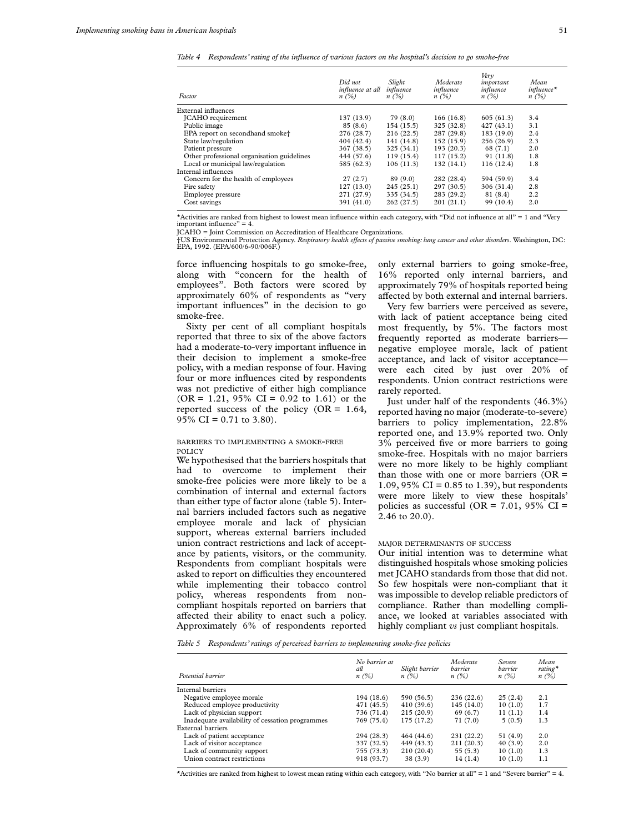*Table 4 Respondents' rating of the influence of various factors on the hospital's decision to go smoke-free*

| Factor                                     | Did not<br>influence at all<br>$n(\%)$ | Slight<br>influence<br>$n(\%)$ | Moderate<br>influence<br>n(%) | Verv<br>important<br>influence<br>$n(\%)$ | Mean<br>$influence*$<br>$n(\%)$ |
|--------------------------------------------|----------------------------------------|--------------------------------|-------------------------------|-------------------------------------------|---------------------------------|
| External influences                        |                                        |                                |                               |                                           |                                 |
| JCAHO requirement                          | 137(13.9)                              | 79 (8.0)                       | 166(16.8)                     | 605(61.3)                                 | 3.4                             |
| Public image                               | 85(8.6)                                | 154(15.5)                      | 325(32.8)                     | 427(43.1)                                 | 3.1                             |
| EPA report on secondhand smoke†            | 276 (28.7)                             | 216(22.5)                      | 287 (29.8)                    | 183 (19.0)                                | 2.4                             |
| State law/regulation                       | 404 (42.4)                             | 141 (14.8)                     | 152(15.9)                     | 256 (26.9)                                | 2.3                             |
| Patient pressure                           | 367(38.5)                              | 325(34.1)                      | 193(20.3)                     | 68(7.1)                                   | 2.0                             |
| Other professional organisation guidelines | 444 (57.6)                             | 119(15.4)                      | 117(15.2)                     | 91 (11.8)                                 | 1.8                             |
| Local or municipal law/regulation          | 585 (62.3)                             | 106(11.3)                      | 132(14.1)                     | 116(12.4)                                 | 1.8                             |
| Internal influences                        |                                        |                                |                               |                                           |                                 |
| Concern for the health of employees        | 27(2.7)                                | 89(9.0)                        | 282 (28.4)                    | 594 (59.9)                                | 3.4                             |
| Fire safety                                | 127(13.0)                              | 245(25.1)                      | 297(30.5)                     | 306 (31.4)                                | 2.8                             |
| Employee pressure                          | 271 (27.9)                             | 335 (34.5)                     | 283 (29.2)                    | 81 (8.4)                                  | 2.2                             |
| Cost savings                               | 391 (41.0)                             | 262(27.5)                      | 201(21.1)                     | 99 (10.4)                                 | 2.0                             |

\*Activities are ranked from highest to lowest mean influence within each category, with "Did not influence at all" = 1 and "Very important influence" = 4.

JCAHO = Joint Commission on Accreditation of Healthcare Organizations.

†US Environmental Protection Agency. *Respiratory health effects of passive smoking: lung cancer and other disorders. Washington, DC:<br>EPA, 1992. (EPA/600/6-90/006F.)* 

force influencing hospitals to go smoke-free, along with "concern for the health of employees". Both factors were scored by approximately 60% of respondents as "very important influences" in the decision to go smoke-free.

Sixty per cent of all compliant hospitals reported that three to six of the above factors had a moderate-to-very important influence in their decision to implement a smoke-free policy, with a median response of four. Having four or more influences cited by respondents was not predictive of either high compliance  $(OR = 1.21, 95\% \text{ CI} = 0.92 \text{ to } 1.61) \text{ or the}$ reported success of the policy ( $OR = 1.64$ , 95\% CI = 0.71 to 3.80).

# BARRIERS TO IMPLEMENTING A SMOKE-FREE POLICY

We hypothesised that the barriers hospitals that had to overcome to implement their smoke-free policies were more likely to be a combination of internal and external factors than either type of factor alone (table 5). Internal barriers included factors such as negative employee morale and lack of physician support, whereas external barriers included union contract restrictions and lack of acceptance by patients, visitors, or the community. Respondents from compliant hospitals were asked to report on difficulties they encountered while implementing their tobacco control policy, whereas respondents from noncompliant hospitals reported on barriers that affected their ability to enact such a policy. Approximately 6% of respondents reported only external barriers to going smoke-free, 16% reported only internal barriers, and approximately 79% of hospitals reported being affected by both external and internal barriers.

Very few barriers were perceived as severe, with lack of patient acceptance being cited most frequently, by 5%. The factors most frequently reported as moderate barriers negative employee morale, lack of patient acceptance, and lack of visitor acceptance were each cited by just over 20% of respondents. Union contract restrictions were rarely reported.

Just under half of the respondents (46.3%) reported having no major (moderate-to-severe) barriers to policy implementation, 22.8% reported one, and 13.9% reported two. Only 3% perceived five or more barriers to going smoke-free. Hospitals with no major barriers were no more likely to be highly compliant than those with one or more barriers  $(OR =$ 1.09, 95% CI = 0.85 to 1.39), but respondents were more likely to view these hospitals' policies as successful (OR =  $7.01$ , 95% CI = 2.46 to 20.0).

# MAJOR DETERMINANTS OF SUCCESS

Our initial intention was to determine what distinguished hospitals whose smoking policies met JCAHO standards from those that did not. So few hospitals were non-compliant that it was impossible to develop reliable predictors of compliance. Rather than modelling compliance, we looked at variables associated with highly compliant *vs* just compliant hospitals.

*Table 5 Respondents' ratings of perceived barriers to implementing smoke-free policies*

| Potential barrier                               | No barrier at<br>all<br>$n(\%)$ | Slight barrier<br>$n(\%)$ | Moderate<br>barrier<br>$n(\%)$ | Severe<br>barrier<br>$n(\%)$ | Mean<br>rating $\star$<br>n(%) |
|-------------------------------------------------|---------------------------------|---------------------------|--------------------------------|------------------------------|--------------------------------|
|                                                 |                                 |                           |                                |                              |                                |
| Internal barriers                               |                                 |                           |                                |                              |                                |
| Negative employee morale                        | 194 (18.6)                      | 590 (56.5)                | 236(22.6)                      | 25(2.4)                      | 2.1                            |
| Reduced employee productivity                   | 471 (45.5)                      | 410 (39.6)                | 145(14.0)                      | 10(1.0)                      | 1.7                            |
| Lack of physician support                       | 736 (71.4)                      | 215(20.9)                 | 69(6.7)                        | 11(1.1)                      | 1.4                            |
| Inadequate availability of cessation programmes | 769 (75.4)                      | 175 (17.2)                | 71 (7.0)                       | 5(0.5)                       | 1.3                            |
| External barriers                               |                                 |                           |                                |                              |                                |
| Lack of patient acceptance                      | 294 (28.3)                      | 464 (44.6)                | 231 (22.2)                     | 51 (4.9)                     | 2.0                            |
| Lack of visitor acceptance                      | 337 (32.5)                      | 449 (43.3)                | 211(20.3)                      | 40(3.9)                      | 2.0                            |
| Lack of community support                       | 755 (73.3)                      | 210(20.4)                 | 55(5.3)                        | 10(1.0)                      | 1.3                            |
| Union contract restrictions                     | 918 (93.7)                      | 38(3.9)                   | 14(1.4)                        | 10(1.0)                      | 1.1                            |

\*Activities are ranked from highest to lowest mean rating within each category, with "No barrier at all" = 1 and "Severe barrier" = 4.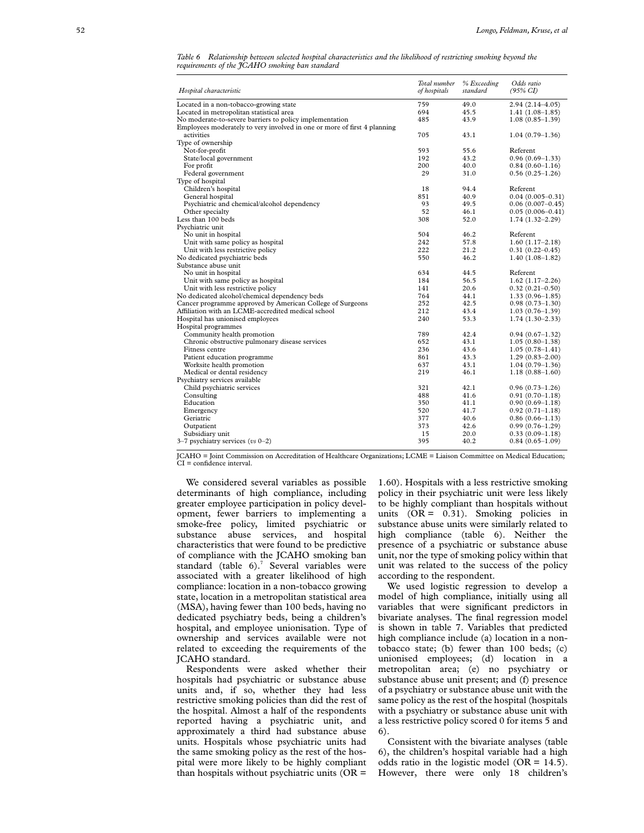| Table 6 Relationship between selected hospital characteristics and the likelihood of restricting smoking beyond the |  |  |  |  |  |  |
|---------------------------------------------------------------------------------------------------------------------|--|--|--|--|--|--|
| requirements of the JCAHO smoking ban standard                                                                      |  |  |  |  |  |  |

| Hospital characteristic                                                  | Total number<br>of hospitals | % Exceeding<br>standard | Odds ratio<br>$(95\% \text{ CI})$ |
|--------------------------------------------------------------------------|------------------------------|-------------------------|-----------------------------------|
| Located in a non-tobacco-growing state                                   | 759                          | 49.0                    | $2.94(2.14 - 4.05)$               |
| Located in metropolitan statistical area                                 | 694                          | 45.5                    | $1.41(1.08-1.85)$                 |
| No moderate-to-severe barriers to policy implementation                  | 485                          | 43.9                    | $1.08(0.85-1.39)$                 |
| Employees moderately to very involved in one or more of first 4 planning |                              |                         |                                   |
| activities                                                               | 705                          | 43.1                    | $1.04(0.79-1.36)$                 |
| Type of ownership                                                        |                              |                         |                                   |
| Not-for-profit                                                           | 593                          | 55.6                    | Referent                          |
| State/local government                                                   | 192                          | 43.2                    | $0.96(0.69-1.33)$                 |
| For profit                                                               | 200                          | 40.0                    | $0.84(0.60-1.16)$                 |
| Federal government                                                       | 29                           | 31.0                    | $0.56(0.25-1.26)$                 |
| Type of hospital                                                         |                              |                         |                                   |
| Children's hospital                                                      | 18                           | 94.4                    | Referent                          |
| General hospital                                                         | 851                          | 40.9                    | $0.04(0.005 - 0.31)$              |
| Psychiatric and chemical/alcohol dependency                              | 93                           | 49.5                    | $0.06(0.007-0.45)$                |
| Other specialty                                                          | 52                           | 46.1                    | $0.05(0.006 - 0.41)$              |
| Less than 100 beds                                                       | 308                          | 52.0                    | $1.74(1.32 - 2.29)$               |
| Psychiatric unit                                                         |                              |                         |                                   |
| No unit in hospital                                                      | 504                          | 46.2                    | Referent                          |
| Unit with same policy as hospital                                        | 242                          | 57.8                    | $1.60(1.17-2.18)$                 |
| Unit with less restrictive policy                                        | 222                          | 21.2                    | $0.31(0.22 - 0.45)$               |
| No dedicated psychiatric beds                                            | 550                          | 46.2                    | $1.40(1.08-1.82)$                 |
| Substance abuse unit                                                     |                              |                         |                                   |
| No unit in hospital                                                      | 634                          | 44.5                    | Referent                          |
| Unit with same policy as hospital                                        | 184                          | 56.5                    | $1.62(1.17-2.26)$                 |
| Unit with less restrictive policy                                        | 141                          | 20.6                    | $0.32(0.21 - 0.50)$               |
| No dedicated alcohol/chemical dependency beds                            | 764                          | 44.1                    | $1.33(0.96-1.85)$                 |
| Cancer programme approved by American College of Surgeons                | 252                          | 42.5                    | $0.98(0.73 - 1.30)$               |
| Affiliation with an LCME-accredited medical school                       | 212                          | 43.4                    | $1.03(0.76 - 1.39)$               |
| Hospital has unionised employees                                         | 240                          | 53.3                    | $1.74(1.30-2.33)$                 |
| Hospital programmes                                                      |                              |                         |                                   |
| Community health promotion                                               | 789                          | 42.4                    | $0.94(0.67-1.32)$                 |
| Chronic obstructive pulmonary disease services                           | 652                          | 43.1                    | $1.05(0.80-1.38)$                 |
| Fitness centre                                                           | 236                          | 43.6                    | $1.05(0.78-1.41)$                 |
| Patient education programme                                              | 861                          | 43.3                    | $1.29(0.83 - 2.00)$               |
| Worksite health promotion                                                | 637                          | 43.1                    | $1.04(0.79-1.36)$                 |
| Medical or dental residency                                              | 219                          | 46.1                    | $1.18(0.88-1.60)$                 |
| Psychiatry services available                                            |                              |                         |                                   |
| Child psychiatric services                                               | 321                          | 42.1                    | $0.96(0.73-1.26)$                 |
| Consulting                                                               | 488                          | 41.6                    | $0.91(0.70-1.18)$                 |
| Education                                                                | 350                          | 41.1                    | $0.90(0.69 - 1.18)$               |
| Emergency                                                                | 520                          | 41.7                    | $0.92(0.71 - 1.18)$               |
| Geriatric                                                                | 377                          | 40.6                    | $0.86(0.66-1.13)$                 |
| Outpatient                                                               | 373                          | 42.6                    | $0.99(0.76 - 1.29)$               |
| Subsidiary unit                                                          | 15                           | 20.0                    | $0.33(0.09-1.18)$                 |
| $3-7$ psychiatry services (vs $0-2$ )                                    | 395                          | 40.2                    | $0.84(0.65-1.09)$                 |

JCAHO = Joint Commission on Accreditation of Healthcare Organizations; LCME = Liaison Committee on Medical Education; CI = confidence interval.

We considered several variables as possible determinants of high compliance, including greater employee participation in policy development, fewer barriers to implementing a smoke-free policy, limited psychiatric or substance abuse services, and hospital characteristics that were found to be predictive of compliance with the JCAHO smoking ban standard (table 6).<sup>7</sup> Several variables were associated with a greater likelihood of high compliance: location in a non-tobacco growing state, location in a metropolitan statistical area (MSA), having fewer than 100 beds, having no dedicated psychiatry beds, being a children's hospital, and employee unionisation. Type of ownership and services available were not related to exceeding the requirements of the JCAHO standard.

Respondents were asked whether their hospitals had psychiatric or substance abuse units and, if so, whether they had less restrictive smoking policies than did the rest of the hospital. Almost a half of the respondents reported having a psychiatric unit, and approximately a third had substance abuse units. Hospitals whose psychiatric units had the same smoking policy as the rest of the hospital were more likely to be highly compliant than hospitals without psychiatric units  $(OR =$ 

1.60). Hospitals with a less restrictive smoking policy in their psychiatric unit were less likely to be highly compliant than hospitals without units  $(OR = 0.31)$ . Smoking policies in substance abuse units were similarly related to high compliance (table 6). Neither the presence of a psychiatric or substance abuse unit, nor the type of smoking policy within that unit was related to the success of the policy according to the respondent.

We used logistic regression to develop a model of high compliance, initially using all variables that were significant predictors in bivariate analyses. The final regression model is shown in table 7. Variables that predicted high compliance include (a) location in a nontobacco state; (b) fewer than 100 beds; (c) unionised employees; (d) location in a metropolitan area; (e) no psychiatry or substance abuse unit present; and (f) presence of a psychiatry or substance abuse unit with the same policy as the rest of the hospital (hospitals with a psychiatry or substance abuse unit with a less restrictive policy scored 0 for items 5 and 6).

Consistent with the bivariate analyses (table 6), the children's hospital variable had a high odds ratio in the logistic model (OR =  $14.5$ ). However, there were only 18 children's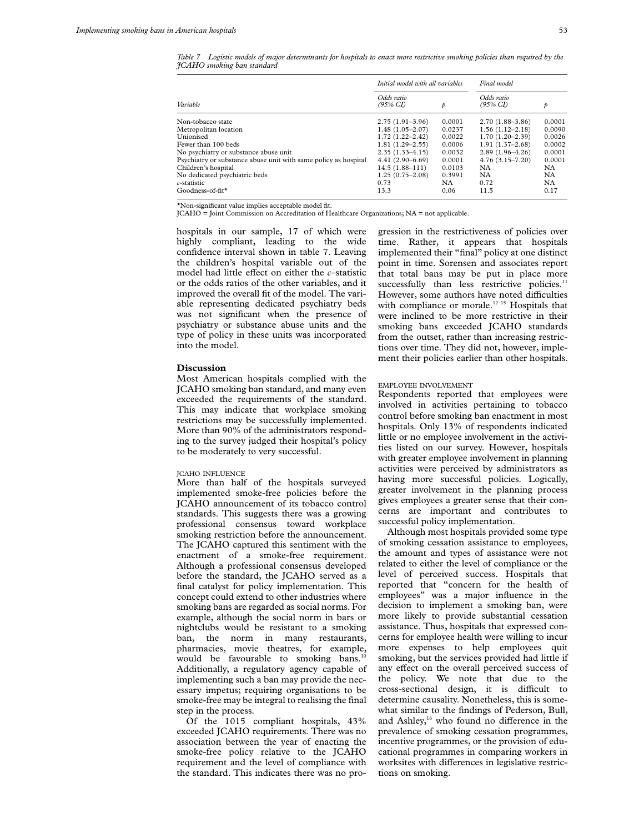*Table 7 Logistic models of major determinants for hospitals to enact more restrictive smoking policies than required by the JCAHO smoking ban standard*

|                                                                 | Initial model with all variables  | Final model |                                   |        |  |
|-----------------------------------------------------------------|-----------------------------------|-------------|-----------------------------------|--------|--|
| Variable                                                        | Odds ratio<br>$(95\% \text{ CI})$ | p           | Odds ratio<br>$(95\% \text{ CI})$ | p      |  |
| Non-tobacco state                                               | $2.75(1.91-3.96)$                 | 0.0001      | $2.70(1.88-3.86)$                 | 0.0001 |  |
| Metropolitan location                                           | $1.48(1.05-2.07)$                 | 0.0237      | $1.56(1.12-2.18)$                 | 0.0090 |  |
| Unionised                                                       | $1.72(1.22 - 2.42)$               | 0.0022      | $1.70(1.20-2.39)$                 | 0.0026 |  |
| Fewer than 100 beds                                             | $1.81(1.29-2.55)$                 | 0.0006      | $1.91(1.37-2.68)$                 | 0.0002 |  |
| No psychiatry or substance abuse unit                           | $2.35(1.33 - 4.15)$               | 0.0032      | $2.89(1.96-4.26)$                 | 0.0001 |  |
| Psychiatry or substance abuse unit with same policy as hospital | $4.41(2.90-6.69)$                 | 0.0001      | $4.76(3.15 - 7.20)$               | 0.0001 |  |
| Children's hospital                                             | $14.5(1.88 - 111)$                | 0.0103      | NA                                | NA     |  |
| No dedicated psychiatric beds                                   | $1.25(0.75-2.08)$                 | 0.3991      | NA.                               | NA     |  |
| c-statistic                                                     | 0.73                              | NA.         | 0.72                              | NA     |  |
| Goodness-of-fit*                                                | 13.3                              | 0.06        | 11.5                              | 0.17   |  |

\*Non-significant value implies acceptable model fit.

JCAHO = Joint Commission on Accreditation of Healthcare Organizations; NA = not applicable.

hospitals in our sample, 17 of which were highly compliant, leading to the wide confidence interval shown in table 7. Leaving the children's hospital variable out of the model had little effect on either the *c*–statistic or the odds ratios of the other variables, and it improved the overall fit of the model. The variable representing dedicated psychiatry beds was not significant when the presence of psychiatry or substance abuse units and the type of policy in these units was incorporated into the model.

# **Discussion**

Most American hospitals complied with the JCAHO smoking ban standard, and many even exceeded the requirements of the standard. This may indicate that workplace smoking restrictions may be successfully implemented. More than 90% of the administrators responding to the survey judged their hospital's policy to be moderately to very successful.

## JCAHO INFLUENCE

More than half of the hospitals surveyed implemented smoke-free policies before the JCAHO announcement of its tobacco control standards. This suggests there was a growing professional consensus toward workplace smoking restriction before the announcement. The JCAHO captured this sentiment with the enactment of a smoke-free requirement. Although a professional consensus developed before the standard, the JCAHO served as a final catalyst for policy implementation. This concept could extend to other industries where smoking bans are regarded as social norms. For example, although the social norm in bars or nightclubs would be resistant to a smoking ban, the norm in many restaurants, pharmacies, movie theatres, for example, would be favourable to smoking bans.<sup>10</sup> Additionally, a regulatory agency capable of implementing such a ban may provide the necessary impetus; requiring organisations to be smoke-free may be integral to realising the final step in the process.

Of the 1015 compliant hospitals, 43% exceeded JCAHO requirements. There was no association between the year of enacting the smoke-free policy relative to the JCAHO requirement and the level of compliance with the standard. This indicates there was no progression in the restrictiveness of policies over time. Rather, it appears that hospitals implemented their "final" policy at one distinct point in time. Sorensen and associates report that total bans may be put in place more successfully than less restrictive policies.<sup>11</sup> However, some authors have noted difficulties with compliance or morale.<sup>12-15</sup> Hospitals that were inclined to be more restrictive in their smoking bans exceeded JCAHO standards from the outset, rather than increasing restrictions over time. They did not, however, implement their policies earlier than other hospitals.

#### EMPLOYEE INVOLVEMENT

Respondents reported that employees were involved in activities pertaining to tobacco control before smoking ban enactment in most hospitals. Only 13% of respondents indicated little or no employee involvement in the activities listed on our survey. However, hospitals with greater employee involvement in planning activities were perceived by administrators as having more successful policies. Logically, greater involvement in the planning process gives employees a greater sense that their concerns are important and contributes to successful policy implementation.

Although most hospitals provided some type of smoking cessation assistance to employees, the amount and types of assistance were not related to either the level of compliance or the level of perceived success. Hospitals that reported that "concern for the health of employees" was a major influence in the decision to implement a smoking ban, were more likely to provide substantial cessation assistance. Thus, hospitals that expressed concerns for employee health were willing to incur more expenses to help employees quit smoking, but the services provided had little if any effect on the overall perceived success of the policy. We note that due to the cross-sectional design, it is difficult to determine causality. Nonetheless, this is somewhat similar to the findings of Pederson, Bull, and Ashley,<sup>16</sup> who found no difference in the prevalence of smoking cessation programmes, incentive programmes, or the provision of educational programmes in comparing workers in worksites with differences in legislative restrictions on smoking.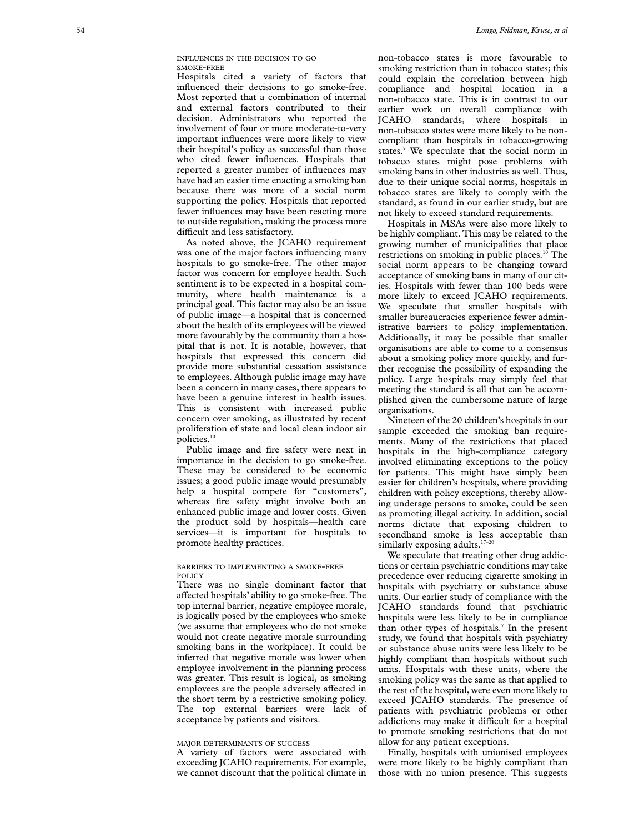INFLUENCES IN THE DECISION TO GO SMOKE -FREE

Hospitals cited a variety of factors that influenced their decisions to go smoke-free. Most reported that a combination of internal and external factors contributed to their decision. Administrators who reported the involvement of four or more moderate-to-very important influences were more likely to view their hospital's policy as successful than those who cited fewer influences. Hospitals that reported a greater number of influences may have had an easier time enacting a smoking ban because there was more of a social norm supporting the policy. Hospitals that reported fewer influences may have been reacting more to outside regulation, making the process more difficult and less satisfactory.

As noted above, the JCAHO requirement was one of the major factors influencing many hospitals to go smoke-free. The other major factor was concern for employee health. Such sentiment is to be expected in a hospital community, where health maintenance is a principal goal. This factor may also be an issue of public image—a hospital that is concerned about the health of its employees will be viewed more favourably by the community than a hospital that is not. It is notable, however, that hospitals that expressed this concern did provide more substantial cessation assistance to employees. Although public image may have been a concern in many cases, there appears to have been a genuine interest in health issues. This is consistent with increased public concern over smoking, as illustrated by recent proliferation of state and local clean indoor air policies.<sup>10</sup>

Public image and fire safety were next in importance in the decision to go smoke-free. These may be considered to be economic issues; a good public image would presumably help a hospital compete for "customers", whereas fire safety might involve both an enhanced public image and lower costs. Given the product sold by hospitals—health care services—it is important for hospitals to promote healthy practices.

## BARRIERS TO IMPLEMENTING A SMOKE-FREE POLICY

There was no single dominant factor that affected hospitals' ability to go smoke-free. The top internal barrier, negative employee morale, is logically posed by the employees who smoke (we assume that employees who do not smoke would not create negative morale surrounding smoking bans in the workplace). It could be inferred that negative morale was lower when employee involvement in the planning process was greater. This result is logical, as smoking employees are the people adversely affected in the short term by a restrictive smoking policy. The top external barriers were lack of acceptance by patients and visitors.

#### MAJOR DETERMINANTS OF SUCCESS

A variety of factors were associated with exceeding JCAHO requirements. For example, we cannot discount that the political climate in

non-tobacco states is more favourable to smoking restriction than in tobacco states; this could explain the correlation between high compliance and hospital location in a non-tobacco state. This is in contrast to our earlier work on overall compliance with JCAHO standards, where hospitals in non-tobacco states were more likely to be noncompliant than hospitals in tobacco-growing states. <sup>7</sup> We speculate that the social norm in tobacco states might pose problems with smoking bans in other industries as well. Thus, due to their unique social norms, hospitals in tobacco states are likely to comply with the standard, as found in our earlier study, but are not likely to exceed standard requirements.

Hospitals in MSAs were also more likely to be highly compliant. This may be related to the growing number of municipalities that place restrictions on smoking in public places.<sup>10</sup> The social norm appears to be changing toward acceptance of smoking bans in many of our cities. Hospitals with fewer than 100 beds were more likely to exceed JCAHO requirements. We speculate that smaller hospitals with smaller bureaucracies experience fewer administrative barriers to policy implementation. Additionally, it may be possible that smaller organisations are able to come to a consensus about a smoking policy more quickly, and further recognise the possibility of expanding the policy. Large hospitals may simply feel that meeting the standard is all that can be accomplished given the cumbersome nature of large organisations.

Nineteen of the 20 children's hospitals in our sample exceeded the smoking ban requirements. Many of the restrictions that placed hospitals in the high-compliance category involved eliminating exceptions to the policy for patients. This might have simply been easier for children's hospitals, where providing children with policy exceptions, thereby allowing underage persons to smoke, could be seen as promoting illegal activity. In addition, social norms dictate that exposing children to secondhand smoke is less acceptable than similarly exposing adults.<sup>17-20</sup>

We speculate that treating other drug addictions or certain psychiatric conditions may take precedence over reducing cigarette smoking in hospitals with psychiatry or substance abuse units. Our earlier study of compliance with the JCAHO standards found that psychiatric hospitals were less likely to be in compliance than other types of hospitals. <sup>7</sup> In the present study, we found that hospitals with psychiatry or substance abuse units were less likely to be highly compliant than hospitals without such units. Hospitals with these units, where the smoking policy was the same as that applied to the rest of the hospital, were even more likely to exceed JCAHO standards. The presence of patients with psychiatric problems or other addictions may make it difficult for a hospital to promote smoking restrictions that do not allow for any patient exceptions.

Finally, hospitals with unionised employees were more likely to be highly compliant than those with no union presence. This suggests